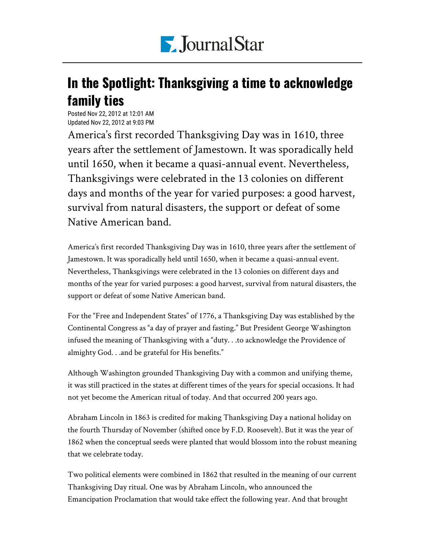

## In the Spotlight: Thanksgiving a time to acknowledge family ties

Posted Nov 22, 2012 at 12:01 AM Updated Nov 22, 2012 at 9:03 PM

America's first recorded Thanksgiving Day was in 1610, three years after the settlement of Jamestown. It was sporadically held until 1650, when it became a quasi-annual event. Nevertheless, Thanksgivings were celebrated in the 13 colonies on different days and months of the year for varied purposes: a good harvest, survival from natural disasters, the support or defeat of some Native American band.

America's first recorded Thanksgiving Day was in 1610, three years after the settlement of Jamestown. It was sporadically held until 1650, when it became a quasi-annual event. Nevertheless, Thanksgivings were celebrated in the 13 colonies on different days and months of the year for varied purposes: a good harvest, survival from natural disasters, the support or defeat of some Native American band.

For the "Free and Independent States" of 1776, a Thanksgiving Day was established by the Continental Congress as "a day of prayer and fasting." But President George Washington infused the meaning of Thanksgiving with a "duty. . .to acknowledge the Providence of almighty God. . .and be grateful for His benefits."

Although Washington grounded Thanksgiving Day with a common and unifying theme, it was still practiced in the states at different times of the years for special occasions. It had not yet become the American ritual of today. And that occurred 200 years ago.

Abraham Lincoln in 1863 is credited for making Thanksgiving Day a national holiday on the fourth Thursday of November (shifted once by F.D. Roosevelt). But it was the year of 1862 when the conceptual seeds were planted that would blossom into the robust meaning that we celebrate today.

Two political elements were combined in 1862 that resulted in the meaning of our current Thanksgiving Day ritual. One was by Abraham Lincoln, who announced the Emancipation Proclamation that would take effect the following year. And that brought